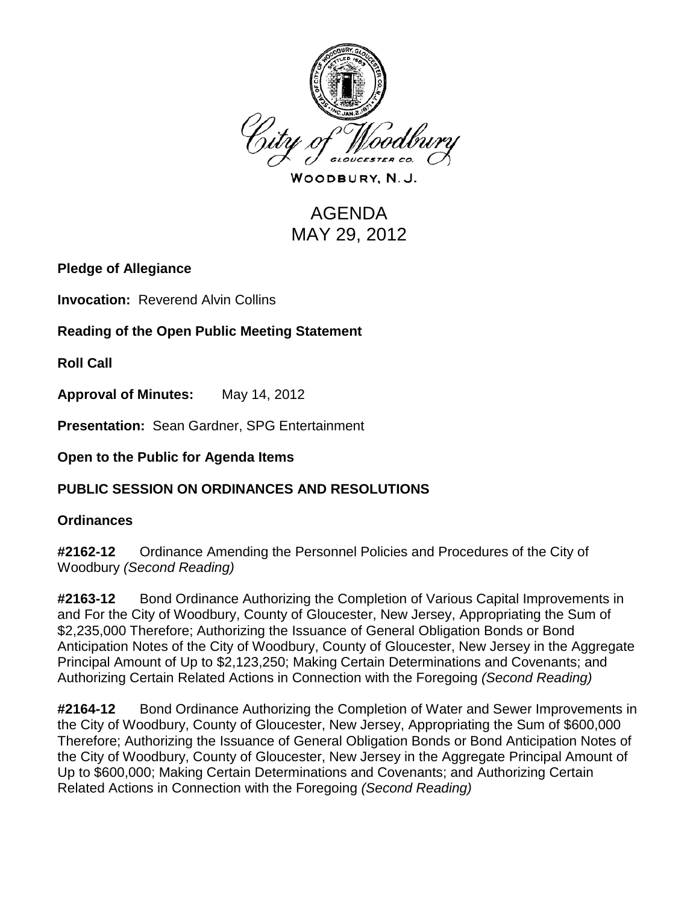

WOODBURY, N.J.

# AGENDA MAY 29, 2012

# **Pledge of Allegiance**

**Invocation: Reverend Alvin Collins** 

**Reading of the Open Public Meeting Statement**

**Roll Call**

**Approval of Minutes:** May 14, 2012

**Presentation:** Sean Gardner, SPG Entertainment

#### **Open to the Public for Agenda Items**

# **PUBLIC SESSION ON ORDINANCES AND RESOLUTIONS**

#### **Ordinances**

**#2162-12** Ordinance Amending the Personnel Policies and Procedures of the City of Woodbury *(Second Reading)*

**#2163-12** Bond Ordinance Authorizing the Completion of Various Capital Improvements in and For the City of Woodbury, County of Gloucester, New Jersey, Appropriating the Sum of \$2,235,000 Therefore; Authorizing the Issuance of General Obligation Bonds or Bond Anticipation Notes of the City of Woodbury, County of Gloucester, New Jersey in the Aggregate Principal Amount of Up to \$2,123,250; Making Certain Determinations and Covenants; and Authorizing Certain Related Actions in Connection with the Foregoing *(Second Reading)*

**#2164-12** Bond Ordinance Authorizing the Completion of Water and Sewer Improvements in the City of Woodbury, County of Gloucester, New Jersey, Appropriating the Sum of \$600,000 Therefore; Authorizing the Issuance of General Obligation Bonds or Bond Anticipation Notes of the City of Woodbury, County of Gloucester, New Jersey in the Aggregate Principal Amount of Up to \$600,000; Making Certain Determinations and Covenants; and Authorizing Certain Related Actions in Connection with the Foregoing *(Second Reading)*